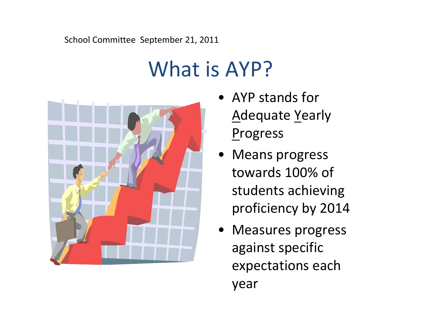# School Committee September 21, 2011

# What is AYP?



- AYP stands for Adequate Yearly **Progress**
- Means progress towards 100% of students achieving proficiency by 2014
- Measures progress against specific expectations each year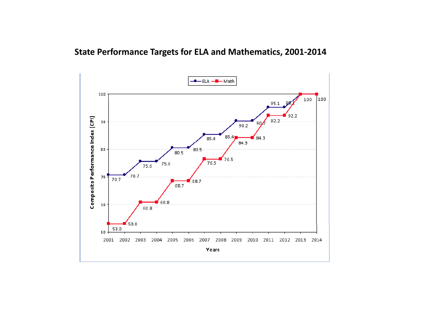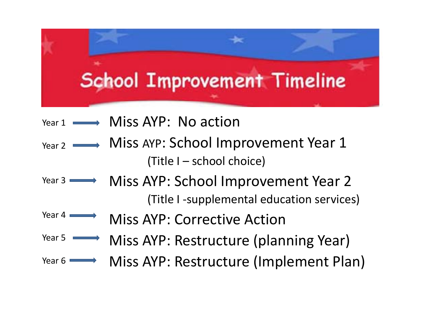

- <code>Year 1  $\longrightarrow$  Miss AYP: No action</code>
- Miss AYP: School Improvement Year 1 (Title I – school choice) Year 2
- Miss AYP: School Improvement Year 2 Year 3(Title I ‐supplemental education services)
- Miss AYP: Corrective ActionYear 4
- Miss AYP: Restructure (planning Year) Year 5
- Miss AYP: Restructure (Implement Plan) Year 6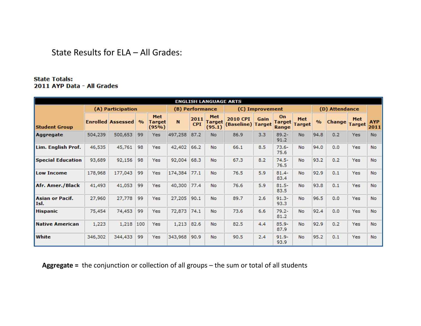#### State Results for ELA – All Grades:

#### **State Totals:** 2011 AYP Data - All Grades

|                          | <b>ENGLISH LANGUAGE ARTS</b> |                          |               |                                      |              |                    |                         |                                      |                 |                       |                             |               |                |                      |                    |
|--------------------------|------------------------------|--------------------------|---------------|--------------------------------------|--------------|--------------------|-------------------------|--------------------------------------|-----------------|-----------------------|-----------------------------|---------------|----------------|----------------------|--------------------|
|                          |                              | (A) Participation        |               |                                      |              | (B) Performance    |                         |                                      | (C) Improvement |                       |                             |               | (D) Attendance |                      |                    |
| <b>Student Group</b>     |                              | <b>Enrolled Assessed</b> | $\frac{9}{6}$ | <b>Met</b><br><b>Target</b><br>(95%) | $\mathbf{N}$ | 2011<br><b>CPI</b> | Met<br>Target<br>(95.1) | <b>2010 CPI</b><br>(Baseline) Target | Gain            | On<br>Target<br>Range | <b>Met</b><br><b>Target</b> | $\frac{9}{6}$ | <b>Change</b>  | Met<br><b>Target</b> | <b>AYP</b><br>2011 |
| Aggregate                | 504,239                      | 500,653                  | 99            | Yes                                  | 497,258      | 87.2               | <b>No</b>               | 86.9                                 | 3.3             | $89.2 -$<br>91.2      | <b>No</b>                   | 94.8          | 0.2            | Yes                  | <b>No</b>          |
| Lim. English Prof.       | 46,535                       | 45,761                   | 98            | Yes                                  | 42,402       | 66.2               | <b>No</b>               | 66.1                                 | 8.5             | $73.6 -$<br>75.6      | <b>No</b>                   | 94.0          | 0.0            | Yes                  | <b>No</b>          |
| <b>Special Education</b> | 93,689                       | 92,156                   | 98            | Yes:                                 | 92,004       | 68.3               | <b>No</b>               | 67.3                                 | 8.2             | $74.5 -$<br>76.5      | <b>No</b>                   | 93.2          | 0.2            | Yes                  | <b>No</b>          |
| <b>Low Income</b>        | 178,968                      | 177,043                  | 99            | Yes                                  | 174,384      | 77.1               | <b>No</b>               | 76.5                                 | 5.9             | $81.4 -$<br>83.4      | <b>No</b>                   | 92.9          | 0.1            | Yes                  | <b>No</b>          |
| Afr. Amer./Black         | 41,493                       | 41,053                   | 99            | Yes                                  | 40,300       | 77.4               | <b>No</b>               | 76.6                                 | 5.9             | $81.5 -$<br>83.5      | <b>No</b>                   | 93.8          | 0.1            | Yes                  | <b>No</b>          |
| Asian or Pacif.<br>Isl.  | 27,960                       | 27,778                   | 99            | Yes                                  | 27,205       | 90.1               | <b>No</b>               | 89.7                                 | 2.6             | $91.3 -$<br>93.3      | <b>No</b>                   | 96.5          | 0.0            | Yes                  | <b>No</b>          |
| <b>Hispanic</b>          | 75,454                       | 74,453                   | 99            | Yes                                  | 72,873       | 74.1               | <b>No</b>               | 73.6                                 | 6.6             | $79.2 -$<br>81.2      | <b>No</b>                   | 92.4          | 0.0            | Yes                  | No                 |
| Native American          | 1,223                        | 1,218                    | 100           | Yes                                  | 1,213        | 82.6               | <b>No</b>               | 82.5                                 | 4.4             | $85.9 -$<br>87.9      | <b>No</b>                   | 92.9          | 0.2            | <b>Yes</b>           | <b>No</b>          |
| <b>White</b>             | 346,302                      | 344,433                  | 99            | Yes                                  | 343,968      | 90.9               | <b>No</b>               | 90.5                                 | 2.4             | $91.9 -$<br>93.9      | <b>No</b>                   | 95.2          | 0.1            | Yes                  | <b>No</b>          |

Aggregate = the conjunction or collection of all groups – the sum or total of all students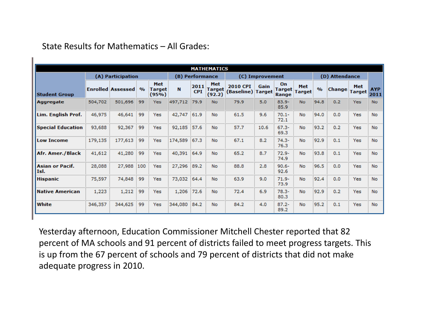|                                | <b>MATHEMATICS</b> |                          |      |                               |         |                                    |                           |                                      |      |                              |                      |      |                |                      |                    |
|--------------------------------|--------------------|--------------------------|------|-------------------------------|---------|------------------------------------|---------------------------|--------------------------------------|------|------------------------------|----------------------|------|----------------|----------------------|--------------------|
|                                |                    | (A) Participation        |      |                               |         | (B) Performance<br>(C) Improvement |                           |                                      |      |                              |                      |      | (D) Attendance |                      |                    |
| <b>Student Group</b>           |                    | <b>Enrolled Assessed</b> | $\%$ | Met<br><b>Target</b><br>(95%) | N       | 2011<br><b>CPI</b>                 | Met<br>Target  <br>(92.2) | <b>2010 CPI</b><br>(Baseline) Target | Gain | On<br><b>Target</b><br>Range | Met<br><b>Target</b> | %    | <b>Change</b>  | Met<br><b>Target</b> | <b>AYP</b><br>2011 |
| Aggregate                      | 504,702            | 501,696                  | 99   | <b>Yes</b>                    | 497,712 | 79.9                               | <b>No</b>                 | 79.9                                 | 5.0  | $83.9 -$<br>85.9             | <b>No</b>            | 94.8 | 0.2            | <b>Yes</b>           | <b>No</b>          |
| Lim. English Prof.             | 46,975             | 46,641                   | 99   | Yes                           | 42,747  | 61.9                               | No                        | 61.5                                 | 9.6  | $70.1 -$<br>72.1             | No.                  | 94.0 | 0.0            | Yes                  | <b>No</b>          |
| <b>Special Education</b>       | 93,688             | 92,367                   | 99   | Yes                           | 92,185  | 57.6                               | No                        | 57.7                                 | 10.6 | $67.3 -$<br>69.3             | <b>No</b>            | 93.2 | 0.2            | <b>Yes</b>           | <b>No</b>          |
| <b>Low Income</b>              | 179,135            | 177,613                  | 99   | Yes                           | 174,589 | 67.3                               | No                        | 67.1                                 | 8.2  | $74.3 -$<br>76.3             | <b>No</b>            | 92.9 | 0.1            | Yes                  | <b>No</b>          |
| Afr. Amer./Black               | 41,612             | 41,280                   | 99   | <b>Yes</b>                    | 40,391  | 64.9                               | No                        | 65.2                                 | 8.7  | $72.9 -$<br>74.9             | <b>No</b>            | 93.8 | 0.1            | Yes                  | <b>No</b>          |
| <b>Asian or Pacif.</b><br>Isl. | 28,088             | 27,988                   | 100  | Yes                           | 27,296  | 89.2                               | No                        | 88.8                                 | 2.8  | $90.6 -$<br>92.6             | <b>No</b>            | 96.5 | 0.0            | <b>Yes</b>           | <b>No</b>          |
| Hispanic                       | 75,597             | 74,848                   | 99   | Yes                           | 73,032  | 64.4                               | No                        | 63.9                                 | 9.0  | $71.9 -$<br>73.9             | No.                  | 92.4 | 0.0            | Yes                  | <b>No</b>          |
| <b>Native American</b>         | 1,223              | 1,212                    | 99   | Yes                           | 1,206   | 72.6                               | No                        | 72.4                                 | 6.9  | $78.3 -$<br>80.3             | <b>No</b>            | 92.9 | 0.2            | Yes                  | <b>No</b>          |
| White                          | 346,357            | 344,625                  | 99   | <b>Yes</b>                    | 344,080 | 84.2                               | No                        | 84.2                                 | 4.0  | $87.2 -$<br>89.2             | <b>No</b>            | 95.2 | 0.1            | Yes                  | <b>No</b>          |

State Results for Mathematics – All Grades:

Yesterday afternoon, Education Commissioner Mitchell Chester reported that 82 percent of MA schools and 91 percent of districts failed to meet progress targets. This is up from the 67 percent of schools and 79 percent of districts that did not make adequate progress in 2010.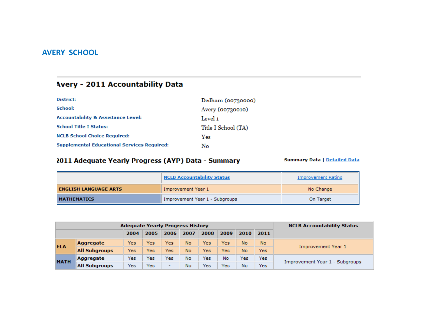#### **AVERY SCHOOL**

## **Avery - 2011 Accountability Data**

| District:                                          | Dedham (00730000)   |
|----------------------------------------------------|---------------------|
| School:                                            | Avery (00730010)    |
| <b>Accountability &amp; Assistance Level:</b>      | Level 1             |
| <b>School Title I Status:</b>                      | Title I School (TA) |
| <b>NCLB School Choice Required:</b>                | Ves                 |
| <b>Supplemental Educational Services Required:</b> | No                  |

#### 2011 Adequate Yearly Progress (AYP) Data - Summary

|                              | <b>NCLB Accountability Status</b> | Improvement Rating |
|------------------------------|-----------------------------------|--------------------|
| <b>ENGLISH LANGUAGE ARTS</b> | Improvement Year 1                | No Change          |
| <b>MATHEMATICS</b>           | Improvement Year 1 - Subgroups    | On Target          |

|             | <b>Adequate Yearly Progress History</b> | <b>NCLB Accountability Status</b> |                                              |      |      |      |      |                                |      |                    |  |
|-------------|-----------------------------------------|-----------------------------------|----------------------------------------------|------|------|------|------|--------------------------------|------|--------------------|--|
|             |                                         | 2004                              | 2005                                         | 2006 | 2007 | 2008 | 2009 | 2010                           | 2011 |                    |  |
| <b>ELA</b>  | Aggregate                               | Yes                               | Yes                                          | Yes  | No   | Yes  | Yes  | No.                            | No.  | Improvement Year 1 |  |
|             | <b>All Subgroups</b>                    | Yes                               | Yes                                          | Yes  | No   | Yes  | Yes  | <b>No</b>                      | Yes  |                    |  |
| <b>MATH</b> | Aggregate                               | Yes                               | Yes                                          | Yes  | No   | Yes  | No   | Yes                            | Yes  |                    |  |
|             | <b>All Subgroups</b>                    | Yes.                              | Yes<br>Yes<br>No<br>$\overline{\phantom{0}}$ |      | Yes  | No   | Yes  | Improvement Year 1 - Subgroups |      |                    |  |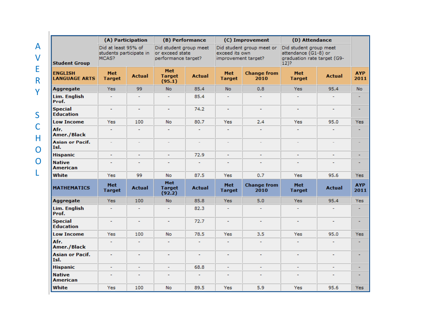|                                        | (A) Participation                                       |                |                                                                  | (B) Performance |                                       | (C) Improvement            | (D) Attendance                                                                           |                |                    |
|----------------------------------------|---------------------------------------------------------|----------------|------------------------------------------------------------------|-----------------|---------------------------------------|----------------------------|------------------------------------------------------------------------------------------|----------------|--------------------|
| <b>Student Group</b>                   | Did at least 95% of<br>students participate in<br>MCAS? |                | Did student group meet<br>or exceed state<br>performance target? |                 | exceed its own<br>improvement target? | Did student group meet or  | Did student group meet<br>attendance (G1-8) or<br>graduation rate target (G9-<br>$12)$ ? |                |                    |
| <b>ENGLISH</b><br><b>LANGUAGE ARTS</b> | <b>Met</b><br><b>Target</b>                             | <b>Actual</b>  | <b>Met</b><br><b>Target</b><br>(95.1)                            | <b>Actual</b>   | Met<br><b>Target</b>                  | <b>Change from</b><br>2010 | <b>Met</b><br><b>Target</b>                                                              | <b>Actual</b>  | <b>AYP</b><br>2011 |
| Aggregate                              | <b>Yes</b>                                              | 99             | <b>No</b>                                                        | 85.4            | No.                                   | 0.8                        | <b>Yes</b>                                                                               | 95.4           | <b>No</b>          |
| <b>Lim. English</b><br>Prof.           | ٠                                                       | ٠              |                                                                  | 85.4            |                                       |                            |                                                                                          |                |                    |
| <b>Special</b><br><b>Education</b>     | ٠                                                       | ÷.             | $\sim$                                                           | 74.2            | ٠                                     | ٠                          | ٠                                                                                        | ٠              | ٠                  |
| <b>Low Income</b>                      | <b>Yes</b>                                              | 100            | <b>No</b>                                                        | 80.7            | Yes                                   | 2.4                        | Yes                                                                                      | 95.0           | Yes                |
| Afr.<br><b>Amer./Black</b>             | ٠                                                       | ٠              |                                                                  | ÷               | ÷                                     |                            | ٠                                                                                        |                |                    |
| <b>Asian or Pacif.</b><br>Tsl.         | ÷.                                                      | ÷.             |                                                                  | ш               | L.                                    | ÷.                         | ÷.                                                                                       | ÷.             |                    |
| <b>Hispanic</b>                        | ÷,                                                      | ٠              | ٠                                                                | 72.9            | ÷.                                    | ٠                          | ä,                                                                                       | ٠              |                    |
| <b>Native</b><br><b>American</b>       | ٠                                                       | $\blacksquare$ | ٠                                                                | $\sim$          | ٠                                     | ٠                          | ٠                                                                                        | ٠              |                    |
| White                                  | <b>Yes</b>                                              | 99             | <b>No</b>                                                        | 87.5            | Yes                                   | 0.7                        | Yes                                                                                      | 95.6           | <b>Yes</b>         |
| <b>MATHEMATICS</b>                     | <b>Met</b><br><b>Target</b>                             | <b>Actual</b>  | <b>Met</b><br><b>Target</b><br>(92.2)                            | <b>Actual</b>   | <b>Met</b><br><b>Target</b>           | <b>Change from</b><br>2010 | Met<br><b>Target</b>                                                                     | <b>Actual</b>  | <b>AYP</b><br>2011 |
| Aggregate                              | Yes:                                                    | 100            | <b>No</b>                                                        | 85.8            | Yes:                                  | 5.0                        | <b>Yes</b>                                                                               | 95.4           | Yes:               |
| <b>Lim. English</b><br>Prof.           | ÷.                                                      | ÷              |                                                                  | 82.3            | ÷                                     |                            | ÷                                                                                        | ÷              |                    |
| <b>Special</b><br><b>Education</b>     | ٠                                                       | ÷,             |                                                                  | 72.7            | ä,                                    | ٠                          |                                                                                          | L,             |                    |
| <b>Low Income</b>                      | Yes                                                     | 100            | <b>No</b>                                                        | 78.5            | Yes                                   | 3.5                        | Yes                                                                                      | 95.0           | Yes                |
| Afr.<br><b>Amer./Black</b>             | ÷.                                                      | $\mathbf{r}$   | ÷.                                                               | ÷.              | ÷                                     | ÷.                         | ÷.                                                                                       | ÷.             |                    |
| <b>Asian or Pacif.</b><br>Isl.         | ۰                                                       | ۰              |                                                                  | ٠               | ٠                                     | ٠                          | ۰                                                                                        | $\overline{a}$ |                    |
| <b>Hispanic</b>                        | ٠                                                       | ٠              |                                                                  | 68.8            | L.                                    |                            | ٠                                                                                        | L.             |                    |
| <b>Native</b><br><b>American</b>       | $\overline{a}$                                          | $\overline{a}$ |                                                                  | ÷.              | $\overline{a}$                        | ٠                          |                                                                                          | $\overline{a}$ |                    |
| White                                  | <b>Yes</b>                                              | 100            | <b>No</b>                                                        | 89.5            | Yes                                   | 5.9                        | Yes                                                                                      | 95.6           | <b>Yes</b>         |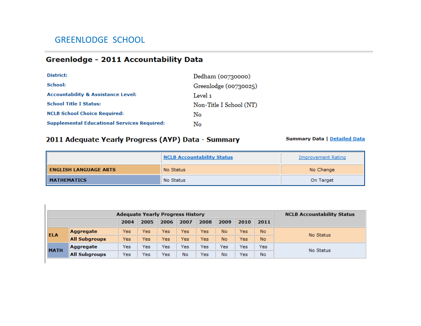## GREENLODGE SCHOOL

 $\mathbb{L}$ 

## Greenlodge - 2011 Accountability Data

| District:                                          | Dedham (00730000)       |
|----------------------------------------------------|-------------------------|
| School:                                            | Greenlodge (00730025)   |
| <b>Accountability &amp; Assistance Level:</b>      | Level 1                 |
| <b>School Title I Status:</b>                      | Non-Title I School (NT) |
| <b>NCLB School Choice Required:</b>                | No                      |
| <b>Supplemental Educational Services Required:</b> | No                      |

#### 2011 Adequate Yearly Progress (AYP) Data - Summary

|                              | <b>NCLB Accountability Status</b> | Improvement Rating |
|------------------------------|-----------------------------------|--------------------|
| <b>ENGLISH LANGUAGE ARTS</b> | No Status                         | No Change          |
| <b>MATHEMATICS</b>           | No Status                         | On Target          |

|             |                      | <b>NCLB Accountability Status</b> |      |      |      |      |      |      |      |           |  |  |
|-------------|----------------------|-----------------------------------|------|------|------|------|------|------|------|-----------|--|--|
|             |                      | 2004                              | 2005 | 2006 | 2007 | 2008 | 2009 | 2010 | 2011 |           |  |  |
| <b>ELA</b>  | <b>Aggregate</b>     | Yes                               | Yes  | Yes  | Yes  | Yes  | No.  | Yes  | No.  | No Status |  |  |
|             | <b>All Subgroups</b> | Yes                               | Yes  | Yes  | Yes  | Yes  | No.  | Yes  | No.  |           |  |  |
| <b>MATH</b> | Aggregate            | Yes                               | Yes  | Yes  | Yes  | Yes  | Yes  | Yes  | Yes  | No Status |  |  |
|             | <b>All Subgroups</b> | Yes                               | Yes  | Yes  | No   | Yes  | No   | Yes  | No   |           |  |  |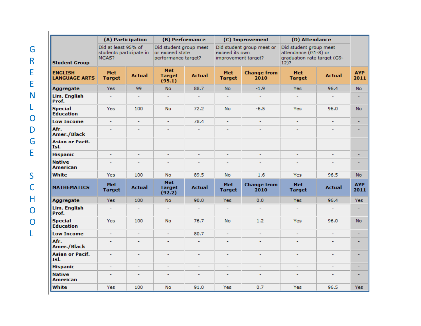|                                        | (A) Participation                                       |                          |                                                                  | (B) Performance |                                       | (C) Improvement            | (D) Attendance                                                                           |                |                    |
|----------------------------------------|---------------------------------------------------------|--------------------------|------------------------------------------------------------------|-----------------|---------------------------------------|----------------------------|------------------------------------------------------------------------------------------|----------------|--------------------|
| <b>Student Group</b>                   | Did at least 95% of<br>students participate in<br>MCAS? |                          | Did student group meet<br>or exceed state<br>performance target? |                 | exceed its own<br>improvement target? | Did student group meet or  | Did student group meet<br>attendance (G1-8) or<br>graduation rate target (G9-<br>$12)$ ? |                |                    |
| <b>ENGLISH</b><br><b>LANGUAGE ARTS</b> | <b>Met</b><br><b>Target</b>                             | <b>Actual</b>            | <b>Met</b><br><b>Target</b><br>(95.1)                            | <b>Actual</b>   | Met<br><b>Target</b>                  | <b>Change from</b><br>2010 | <b>Met</b><br><b>Target</b>                                                              | <b>Actual</b>  | <b>AYP</b><br>2011 |
| <b>Aggregate</b>                       | <b>Yes</b>                                              | 99                       | No.                                                              | 88.7            | <b>No</b>                             | $-1.9$                     | Yes:                                                                                     | 96.4           | No.                |
| Lim. English<br>Prof.                  |                                                         |                          | L                                                                |                 |                                       |                            |                                                                                          |                |                    |
| <b>Special</b><br><b>Education</b>     | Yes                                                     | 100                      | No.                                                              | 72.2            | <b>No</b>                             | $-6.5$                     | Yes                                                                                      | 96.0           | <b>No</b>          |
| <b>Low Income</b>                      | ٠                                                       | ٠                        | ٠                                                                | 78.4            | ٠                                     |                            | ٠                                                                                        | ٠              | ٠                  |
| Afr.<br><b>Amer./Black</b>             |                                                         |                          |                                                                  | ٠               |                                       |                            | $\overline{a}$                                                                           | ÷              |                    |
| <b>Asian or Pacif.</b><br>Isl.         | $\overline{\phantom{a}}$                                | $\overline{a}$           | ٠                                                                | ٠               | ٠                                     | $\overline{a}$             | $\overline{a}$                                                                           | $\overline{a}$ | ٠                  |
| <b>Hispanic</b>                        |                                                         |                          | L,                                                               |                 |                                       |                            |                                                                                          |                | ٠                  |
| <b>Native</b><br><b>American</b>       | $\overline{a}$                                          | ٠                        | ÷,                                                               | $\overline{a}$  | ٠                                     |                            | $\overline{a}$                                                                           | $\overline{a}$ |                    |
| White                                  | Yes                                                     | 100                      | <b>No</b>                                                        | 89.5            | <b>No</b>                             | $-1.6$                     | <b>Yes</b>                                                                               | 96.5           | <b>No</b>          |
| <b>MATHEMATICS</b>                     | <b>Met</b><br><b>Target</b>                             | <b>Actual</b>            | <b>Met</b><br><b>Target</b><br>(92.2)                            | <b>Actual</b>   | <b>Met</b><br><b>Target</b>           | <b>Change from</b><br>2010 | <b>Met</b><br><b>Target</b>                                                              | <b>Actual</b>  | <b>AYP</b><br>2011 |
| <b>Aggregate</b>                       | <b>Yes</b>                                              | 100                      | No.                                                              | 90.0            | Yes:                                  | 0.0                        | Yes:                                                                                     | 96.4           | Yes:               |
| Lim. English<br>Prof.                  | ٠                                                       | ÷                        | ٠                                                                | ٠               | ٠                                     |                            | $\overline{a}$                                                                           | $\overline{a}$ |                    |
| <b>Special</b><br><b>Education</b>     | Yes                                                     | 100                      | No                                                               | 76.7            | <b>No</b>                             | 1.2                        | Yes                                                                                      | 96.0           | <b>No</b>          |
| <b>Low Income</b>                      | ۰                                                       | ۰                        | ٠                                                                | 80.7            | ۰                                     | ۰                          | ٠                                                                                        | ۰              | ۰                  |
| Afr.<br><b>Amer./Black</b>             | ÷                                                       | $\overline{a}$           | ÷                                                                | ٠               | $\overline{a}$                        |                            | $\overline{a}$                                                                           | $\overline{a}$ |                    |
| <b>Asian or Pacif.</b><br>Isl.         | ٠                                                       | $\overline{\phantom{0}}$ | $\overline{a}$                                                   | ۰               |                                       | $\overline{a}$             | $\overline{a}$                                                                           | $\overline{a}$ |                    |
| Hispanic                               | ٠                                                       | ٠                        | ٠                                                                | ٠               | ٠                                     | ٠                          | ٠                                                                                        | ٠              | ٠                  |
| <b>Native</b><br><b>American</b>       | $\overline{a}$                                          | $\overline{a}$           | ٠                                                                | ٠               | $\overline{a}$                        | $\overline{a}$             | $\overline{a}$                                                                           | $\overline{a}$ |                    |
| White                                  | Yes                                                     | 100                      | No.                                                              | 91.0            | Yes:                                  | 0.7                        | Yes                                                                                      | 96.5           | <b>Yes</b>         |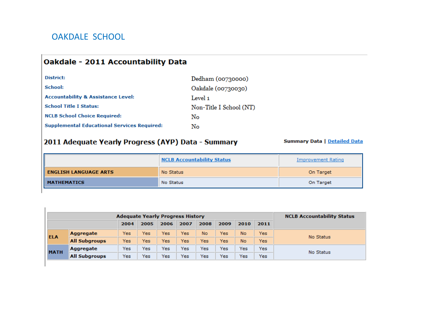## OAKDALE SCHOOL

 $\mathbb{I}$ 

#### **Oakdale - 2011 Accountability Data**

| District:                                          | Dedham (00730000)       |
|----------------------------------------------------|-------------------------|
| School:                                            | Oakdale (00730030)      |
| <b>Accountability &amp; Assistance Level:</b>      | Level 1                 |
| <b>School Title I Status:</b>                      | Non-Title I School (NT) |
| <b>NCLB School Choice Required:</b>                | No.                     |
| <b>Supplemental Educational Services Required:</b> | No                      |

#### 2011 Adequate Yearly Progress (AYP) Data - Summary

|                              | <b>NCLB Accountability Status</b> | Improvement Rating |
|------------------------------|-----------------------------------|--------------------|
| <b>ENGLISH LANGUAGE ARTS</b> | No Status                         | On Target          |
| <b>MATHEMATICS</b>           | No Status                         | On Target          |

|             |                      | <b>NCLB Accountability Status</b> |      |      |      |           |            |           |      |           |
|-------------|----------------------|-----------------------------------|------|------|------|-----------|------------|-----------|------|-----------|
|             |                      | 2004                              | 2005 | 2006 | 2007 | 2008      | 2009       | 2010      | 2011 |           |
| <b>ELA</b>  | Aggregate            | Yes                               | Yes  | Yes  | Yes  | <b>No</b> | Yes.       | <b>No</b> | Yes: | No Status |
|             | <b>All Subgroups</b> | Yes                               | Yes  | Yes  | Yes  | Yes       | <b>Yes</b> | <b>No</b> | Yes  |           |
|             | Aggregate            | Yes                               | Yes  | Yes  | Yes  | Yes       | Yes.       | Yes       | Yes  | No Status |
| <b>MATH</b> | <b>All Subgroups</b> | Yes                               | Yes  | Yes  | Yes  | Yes       | Yes        | Yes       | Yes  |           |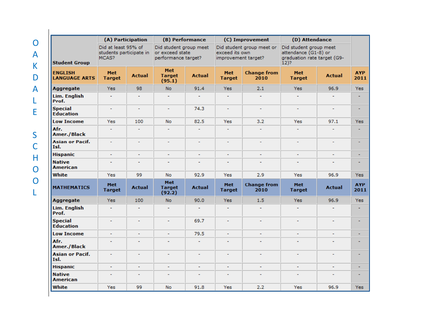|                                        | (A) Participation                                       |                | (B) Performance                                                  |                |                                       | (C) Improvement            | (D) Attendance                                                                           |                |                    |
|----------------------------------------|---------------------------------------------------------|----------------|------------------------------------------------------------------|----------------|---------------------------------------|----------------------------|------------------------------------------------------------------------------------------|----------------|--------------------|
| <b>Student Group</b>                   | Did at least 95% of<br>students participate in<br>MCAS? |                | Did student group meet<br>or exceed state<br>performance target? |                | exceed its own<br>improvement target? | Did student group meet or  | Did student group meet<br>attendance (G1-8) or<br>araduation rate target (G9-<br>$12)$ ? |                |                    |
| <b>ENGLISH</b><br><b>LANGUAGE ARTS</b> | <b>Met</b><br><b>Target</b>                             | <b>Actual</b>  | <b>Met</b><br><b>Target</b><br>(95.1)                            | <b>Actual</b>  | <b>Met</b><br><b>Target</b>           | <b>Change from</b><br>2010 | <b>Met</b><br><b>Target</b>                                                              | <b>Actual</b>  | <b>AYP</b><br>2011 |
| <b>Aggregate</b>                       | <b>Yes</b>                                              | 98             | No.                                                              | 91.4           | <b>Yes</b>                            | 2.1                        | <b>Yes</b>                                                                               | 96.9           | Yes:               |
| <b>Lim. English</b><br>Prof.           | $\overline{a}$                                          | ٠              | $\overline{a}$                                                   |                |                                       |                            |                                                                                          |                | ٠                  |
| <b>Special</b><br><b>Education</b>     | $\overline{\phantom{a}}$                                | ٠              | $\blacksquare$                                                   | 74.3           | ٠                                     | ٠                          | ۰                                                                                        | ۰              | ٠                  |
| <b>Low Income</b>                      | Yes                                                     | 100            | <b>No</b>                                                        | 82.5           | Yes                                   | 3.2                        | Yes                                                                                      | 97.1           | <b>Yes</b>         |
| Afr.<br><b>Amer./Black</b>             | $\overline{a}$                                          | ÷              | $\overline{a}$                                                   | ÷              | $\overline{a}$                        | ÷                          | ÷                                                                                        | ÷              | ٠                  |
| <b>Asian or Pacif.</b><br>Isl.         | $\mathbf{r}$                                            | ٠              | $\overline{\phantom{a}}$                                         | u,             | ÷                                     | $\overline{a}$             | $\overline{a}$                                                                           | $\overline{a}$ | ٠                  |
| <b>Hispanic</b>                        | ٠                                                       | ٠              | ٠                                                                | ٠              | ٠                                     | ÷,                         | $\overline{a}$                                                                           |                | ٠                  |
| <b>Native</b><br><b>American</b>       | ÷                                                       | ÷              |                                                                  | ÷.             | ٠                                     |                            |                                                                                          |                |                    |
| White                                  | <b>Yes</b>                                              | 99             | No                                                               | 92.9           | <b>Yes</b>                            | 2.9                        | Yes                                                                                      | 96.9           | <b>Yes</b>         |
| <b>MATHEMATICS</b>                     | <b>Met</b><br><b>Target</b>                             | <b>Actual</b>  | <b>Met</b><br><b>Target</b><br>(92.2)                            | <b>Actual</b>  | <b>Met</b><br><b>Target</b>           | <b>Change from</b><br>2010 | <b>Met</b><br><b>Target</b>                                                              | <b>Actual</b>  | <b>AYP</b><br>2011 |
| <b>Aggregate</b>                       | <b>Yes</b>                                              | 100            | <b>No</b>                                                        | 90.0           | <b>Yes</b>                            | 1.5                        | <b>Yes</b>                                                                               | 96.9           | Yes:               |
| Lim. English<br>Prof.                  | ÷.                                                      | $\overline{a}$ | $\overline{a}$                                                   | $\sim$         | ٠                                     |                            | $\overline{a}$                                                                           | ÷              | ٠                  |
| <b>Special</b><br><b>Education</b>     | ÷.                                                      | ٠              | $\sim$                                                           | 69.7           | ٠                                     | ÷                          | ٠                                                                                        | ٠              | ٠                  |
| <b>Low Income</b>                      | ÷                                                       | ٠              | $\overline{\phantom{a}}$                                         | 79.5           | $\overline{a}$                        | ÷                          | $\overline{a}$                                                                           | $\overline{a}$ | ٠                  |
| Afr.<br><b>Amer./Black</b>             | ٠                                                       | ٠              |                                                                  | $\overline{a}$ |                                       |                            |                                                                                          |                |                    |
| <b>Asian or Pacif.</b><br>Isl.         | ÷                                                       | $\overline{a}$ |                                                                  | ÷              | ÷                                     |                            |                                                                                          |                | ۰                  |
| <b>Hispanic</b>                        | L,                                                      | L,             |                                                                  |                |                                       |                            | $\overline{a}$                                                                           |                | ٠                  |
| <b>Native</b><br><b>American</b>       | $\blacksquare$                                          | ٠              | ٠                                                                | $\blacksquare$ | ٠                                     | ÷,                         | ۰                                                                                        | ٠              | ٠                  |
| White                                  | Yes                                                     | 99             | No                                                               | 91.8           | Yes                                   | 2.2                        | Yes                                                                                      | 96.9           | Yes                |

O

A

K

D

A

L

E

S

C

H

O

O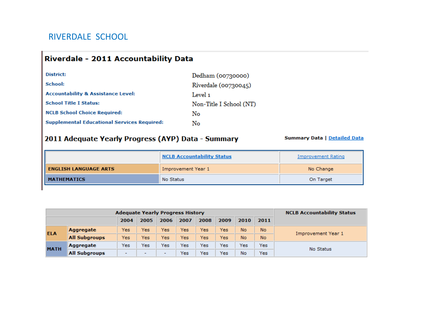#### RIVERDALE SCHOOL

#### Riverdale - 2011 Accountability Data

| District:                                          | Dedham (00730000)       |
|----------------------------------------------------|-------------------------|
| School:                                            | Riverdale (00730045)    |
| <b>Accountability &amp; Assistance Level:</b>      | Level 1                 |
| <b>School Title I Status:</b>                      | Non-Title I School (NT) |
| <b>NCLB School Choice Required:</b>                | No                      |
| <b>Supplemental Educational Services Required:</b> | No                      |

#### 2011 Adequate Yearly Progress (AYP) Data - Summary

|                              | <b>NCLB Accountability Status</b> | Improvement Rating |
|------------------------------|-----------------------------------|--------------------|
| <b>ENGLISH LANGUAGE ARTS</b> | Improvement Year 1                | No Change          |
| <b>MATHEMATICS</b>           | No Status                         | On Target          |

|             | <b>Adequate Yearly Progress History</b> | <b>NCLB Accountability Status</b> |                          |                          |      |      |      |      |           |                    |  |  |
|-------------|-----------------------------------------|-----------------------------------|--------------------------|--------------------------|------|------|------|------|-----------|--------------------|--|--|
|             |                                         | 2004                              | 2005                     | 2006                     | 2007 | 2008 | 2009 | 2010 | 2011      |                    |  |  |
| <b>ELA</b>  | Aggregate                               | Yes                               | Yes                      | Yes                      | Yes  | Yes  | Yes  | No   | No.       |                    |  |  |
|             | <b>All Subgroups</b>                    | Yes                               | Yes                      | Yes                      | Yes  | Yes  | Yes  | No   | <b>No</b> | Improvement Year 1 |  |  |
| <b>MATH</b> | Aggregate                               | Yes                               | Yes                      | Yes                      | Yes  | Yes  | Yes  | Yes  | Yes       | No Status          |  |  |
|             | <b>All Subgroups</b>                    | $\overline{\phantom{a}}$          | $\overline{\phantom{a}}$ | $\overline{\phantom{0}}$ | Yes  | Yes  | Yes  | No   | Yes       |                    |  |  |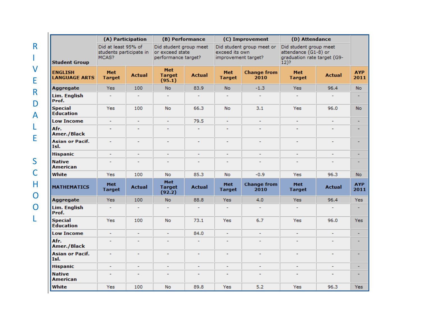|                                        | (A) Participation                                       |                          | (B) Performance                                                  |                |                                       | (C) Improvement            | (D) Attendance                                                                           |                |                    |
|----------------------------------------|---------------------------------------------------------|--------------------------|------------------------------------------------------------------|----------------|---------------------------------------|----------------------------|------------------------------------------------------------------------------------------|----------------|--------------------|
| <b>Student Group</b>                   | Did at least 95% of<br>students participate in<br>MCAS? |                          | Did student group meet<br>or exceed state<br>performance target? |                | exceed its own<br>improvement target? | Did student group meet or  | Did student group meet<br>attendance (G1-8) or<br>graduation rate target (G9-<br>$12)$ ? |                |                    |
| <b>ENGLISH</b><br><b>LANGUAGE ARTS</b> | <b>Met</b><br><b>Target</b>                             | <b>Actual</b>            | <b>Met</b><br><b>Target</b><br>(95.1)                            | <b>Actual</b>  | <b>Met</b><br><b>Target</b>           | <b>Change from</b><br>2010 | <b>Met</b><br><b>Target</b>                                                              | <b>Actual</b>  | <b>AYP</b><br>2011 |
| <b>Aggregate</b>                       | <b>Yes</b>                                              | 100                      | <b>No</b>                                                        | 83.9           | <b>No</b>                             | $-1.3$                     | Yes:                                                                                     | 96.4           | <b>No</b>          |
| <b>Lim. English</b><br>Prof.           | ц                                                       | $\overline{a}$           | $\overline{a}$                                                   | ٠              | $\overline{a}$                        | ٠                          |                                                                                          |                |                    |
| <b>Special</b><br><b>Education</b>     | Yes                                                     | 100                      | <b>No</b>                                                        | 66.3           | <b>No</b>                             | 3.1                        | Yes                                                                                      | 96.0           | <b>No</b>          |
| <b>Low Income</b>                      | ۰                                                       | $\blacksquare$           | ٠                                                                | 79.5           | $\blacksquare$                        | ٠                          |                                                                                          |                | ٠                  |
| Afr.<br><b>Amer./Black</b>             |                                                         |                          |                                                                  | ÷              |                                       |                            |                                                                                          |                |                    |
| <b>Asian or Pacif.</b><br>Isl.         | ٠                                                       | $\blacksquare$           | ٠                                                                | ÷,             | ٠                                     | ۰                          | ٠                                                                                        | ۰              |                    |
| <b>Hispanic</b>                        | L                                                       |                          |                                                                  | ٠              |                                       | ۰                          |                                                                                          |                |                    |
| <b>Native</b><br><b>American</b>       | $\overline{a}$                                          | $\overline{a}$           | $\overline{a}$                                                   | ٠              | $\tilde{\phantom{a}}$                 | ÷,                         |                                                                                          | $\overline{a}$ |                    |
| White                                  | <b>Yes</b>                                              | 100                      | <b>No</b>                                                        | 85.3           | <b>No</b>                             | $-0.9$                     | <b>Yes</b>                                                                               | 96.3           | <b>No</b>          |
| <b>MATHEMATICS</b>                     | <b>Met</b><br><b>Target</b>                             | <b>Actual</b>            | <b>Met</b><br><b>Target</b><br>(92.2)                            | <b>Actual</b>  | <b>Met</b><br><b>Target</b>           | <b>Change from</b><br>2010 | <b>Met</b><br><b>Target</b>                                                              | <b>Actual</b>  | <b>AYP</b><br>2011 |
| <b>Aggregate</b>                       | <b>Yes</b>                                              | 100                      | <b>No</b>                                                        | 88.8           | <b>Yes</b>                            | 4.0                        | Yes:                                                                                     | 96.4           | Yes:               |
| <b>Lim. English</b><br>Prof.           | ٠                                                       |                          | ٠                                                                | ٠              |                                       | ٠                          |                                                                                          |                |                    |
| <b>Special</b><br><b>Education</b>     | Yes                                                     | 100                      | <b>No</b>                                                        | 73.1           | <b>Yes</b>                            | 6.7                        | Yes                                                                                      | 96.0           | <b>Yes</b>         |
| <b>Low Income</b>                      | ۰                                                       | ۰                        | $\blacksquare$                                                   | 84.0           | ۰                                     | ۰                          | ٠                                                                                        | ٠              |                    |
| Afr.<br><b>Amer./Black</b>             | ٠                                                       | $\overline{a}$           | $\overline{\phantom{0}}$                                         | $\overline{a}$ | $\overline{\phantom{a}}$              | $\overline{a}$             |                                                                                          | $\overline{a}$ |                    |
| <b>Asian or Pacif.</b><br>Isl.         | ٠                                                       | ٠                        | ٠                                                                | ٠              | ٠                                     | ۰                          |                                                                                          | ٠              |                    |
| <b>Hispanic</b>                        | ÷,                                                      | L,                       | ÷,                                                               | L,             | ÷,                                    | ۰                          |                                                                                          | ۰              |                    |
| <b>Native</b><br><b>American</b>       | $\overline{a}$                                          | $\overline{\phantom{a}}$ | $\overline{\phantom{a}}$                                         | ÷              | ÷                                     | $\overline{a}$             |                                                                                          |                |                    |
| White                                  | <b>Yes</b>                                              | 100                      | <b>No</b>                                                        | 89.8           | Yes                                   | 5.2                        | <b>Yes</b>                                                                               | 96.3           | <b>Yes</b>         |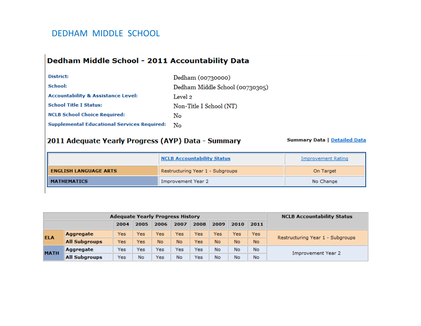#### DEDHAM MIDDLE SCHOOL

#### Dedham Middle School - 2011 Accountability Data

| District:                                          | Dedham (00730000)               |
|----------------------------------------------------|---------------------------------|
| School:                                            | Dedham Middle School (00730305) |
| <b>Accountability &amp; Assistance Level:</b>      | Level 2                         |
| <b>School Title I Status:</b>                      | Non-Title I School (NT)         |
| <b>NCLB School Choice Required:</b>                | No                              |
| <b>Supplemental Educational Services Required:</b> | Nο                              |

#### 2011 Adequate Yearly Progress (AYP) Data - Summary

|                              | <b>NCLB Accountability Status</b> | Improvement Rating |
|------------------------------|-----------------------------------|--------------------|
| <b>ENGLISH LANGUAGE ARTS</b> | Restructuring Year 1 - Subgroups  | On Target          |
| <b>MATHEMATICS</b>           | Improvement Year 2                | No Change          |

|             | <b>Adequate Yearly Progress History</b> | <b>NCLB Accountability Status</b> |      |      |      |      |      |      |      |                                  |  |
|-------------|-----------------------------------------|-----------------------------------|------|------|------|------|------|------|------|----------------------------------|--|
|             |                                         | 2004                              | 2005 | 2006 | 2007 | 2008 | 2009 | 2010 | 2011 |                                  |  |
| <b>ELA</b>  | Aggregate                               | Yes                               | Yes  | Yes  | Yes  | Yes  | Yes  | Yes  | Yesi | Restructuring Year 1 - Subgroups |  |
|             | <b>All Subgroups</b>                    | Yes                               | Yes  | No   | No.  | Yes  | No   | No   | No.  |                                  |  |
| <b>MATH</b> | Aggregate                               | Yes                               | Yes  | Yes  | Yes  | Yes  | No   | No   | No   | Improvement Year 2               |  |
|             | <b>All Subgroups</b>                    | Yes                               | No   | Yes  | No   | Yes  | No   | No   | No   |                                  |  |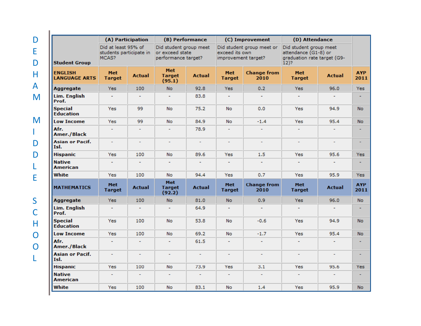|                                        | (A) Participation                                       |                |                                                                  | (B) Performance             |                                       | (C) Improvement             | (D) Attendance                                                                           |                          |                    |
|----------------------------------------|---------------------------------------------------------|----------------|------------------------------------------------------------------|-----------------------------|---------------------------------------|-----------------------------|------------------------------------------------------------------------------------------|--------------------------|--------------------|
| <b>Student Group</b>                   | Did at least 95% of<br>students participate in<br>MCAS? |                | Did student group meet<br>or exceed state<br>performance target? |                             | exceed its own<br>improvement target? | Did student group meet or   | Did student group meet<br>attendance (G1-8) or<br>graduation rate target (G9-<br>$12)$ ? |                          |                    |
| <b>ENGLISH</b><br><b>LANGUAGE ARTS</b> | <b>Met</b><br><b>Target</b>                             | <b>Actual</b>  | <b>Met</b><br><b>Target</b><br>(95.1)                            | <b>Actual</b>               | Met<br><b>Target</b>                  | <b>Change from</b><br>2010  | <b>Met</b><br><b>Target</b>                                                              | <b>Actual</b>            | <b>AYP</b><br>2011 |
| <b>Aggregate</b>                       | <b>Yes</b>                                              | 100            | No.                                                              | 92.8                        | Yes:                                  | 0.2                         | Yes:                                                                                     | 96.0                     | Yes                |
| <b>Lim. English</b><br>Prof.           |                                                         |                | ٠                                                                | 83.8                        |                                       |                             |                                                                                          |                          |                    |
| <b>Special</b><br><b>Education</b>     | Yes                                                     | 99             | <b>No</b>                                                        | 75.2                        | <b>No</b>                             | 0.0                         | Yes                                                                                      | 94.9                     | No.                |
| <b>Low Income</b>                      | <b>Yes</b>                                              | 99             | <b>No</b>                                                        | 84.9                        | No                                    | $-1.4$                      | <b>Yes</b>                                                                               | 95.4                     | <b>No</b>          |
| Afr.<br><b>Amer./Black</b>             |                                                         |                | ٠                                                                | 78.9                        |                                       |                             | $\overline{\phantom{0}}$                                                                 | $\overline{\phantom{a}}$ |                    |
| <b>Asian or Pacif.</b><br>Isl.         | $\mathcal{L}_{\mathcal{A}}$                             | ٠              | $\overline{\phantom{a}}$                                         | $\mathcal{L}^{\mathcal{A}}$ | $\sim$                                | $\mathcal{L}_{\mathcal{A}}$ | $\overline{\phantom{a}}$                                                                 | $\overline{\phantom{a}}$ | ٠                  |
| Hispanic                               | Yes                                                     | 100            | No.                                                              | 89.6                        | Yes                                   | 1.5                         | <b>Yes</b>                                                                               | 95.6                     | Yes                |
| <b>Native</b><br><b>American</b>       |                                                         | ٠              | ٠                                                                |                             |                                       |                             |                                                                                          |                          | ۰                  |
| White                                  | <b>Yes</b>                                              | 100            | No.                                                              | 94.4                        | Yes                                   | 0.7                         | Yes                                                                                      | 95.9                     | Yes                |
| <b>MATHEMATICS</b>                     | <b>Met</b><br><b>Target</b>                             | <b>Actual</b>  | <b>Met</b><br><b>Target</b><br>(92.2)                            | <b>Actual</b>               | <b>Met</b><br><b>Target</b>           | <b>Change from</b><br>2010  | <b>Met</b><br><b>Target</b>                                                              | <b>Actual</b>            | <b>AYP</b><br>2011 |
| <b>Aggregate</b>                       | Yes:                                                    | 100            | No.                                                              | 81.0                        | <b>No</b>                             | 0.9 <sub>1</sub>            | Yes:                                                                                     | 96.0                     | <b>No</b>          |
| Lim. English<br>Prof.                  | ۰                                                       | $\overline{a}$ | ÷                                                                | 64.9                        |                                       |                             |                                                                                          |                          |                    |
| <b>Special</b><br><b>Education</b>     | Yes                                                     | 100            | <b>No</b>                                                        | 53.8                        | No                                    | $-0.6$                      | Yes                                                                                      | 94.9                     | <b>No</b>          |
| <b>Low Income</b>                      | <b>Yes</b>                                              | 100            | <b>No</b>                                                        | 69.2                        | No                                    | $-1.7$                      | <b>Yes</b>                                                                               | 95.4                     | <b>No</b>          |
| Afr.<br><b>Amer./Black</b>             | $\overline{a}$                                          | ٠              | ÷.                                                               | 61.5                        | $\sim$                                | $\sim$                      | ÷.                                                                                       | ÷.                       |                    |
| <b>Asian or Pacif.</b><br>Isl.         | ٠                                                       | ٠              | ٠                                                                | $\sim$                      | $\overline{\phantom{0}}$              |                             | $\overline{a}$                                                                           | $\overline{\phantom{a}}$ |                    |
| Hispanic                               | <b>Yes</b>                                              | 100            | <b>No</b>                                                        | 73.9                        | Yes                                   | 3.1                         | <b>Yes</b>                                                                               | 95.6                     | Yes                |
| <b>Native</b><br><b>American</b>       | ٠                                                       | ٠              | ÷                                                                | ÷.                          | ÷.                                    | $\sim$                      | ٠                                                                                        | ÷.                       |                    |
| White                                  | Yes                                                     | 100            | No.                                                              | 83.1                        | No                                    | 1.4                         | <b>Yes</b>                                                                               | 95.9                     | <b>No</b>          |

D

E

D

H

A

M

M

IL

D

D

L

E

S

C

H

O

O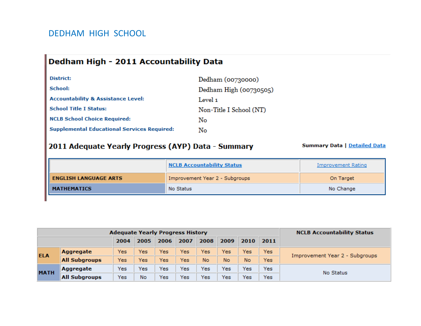#### DEDHAM HIGH SCHOOL

# Dedham High - 2011 Accountability Data

| District:                                          | Dedham (00730000)       |
|----------------------------------------------------|-------------------------|
| School:                                            | Dedham High (00730505)  |
| <b>Accountability &amp; Assistance Level:</b>      | Level 1                 |
| <b>School Title I Status:</b>                      | Non-Title I School (NT) |
| <b>NCLB School Choice Required:</b>                | Nο                      |
| <b>Supplemental Educational Services Required:</b> | No                      |

#### 2011 Adequate Yearly Progress (AYP) Data - Summary

|                              | <b>NCLB Accountability Status</b> | Improvement Rating |
|------------------------------|-----------------------------------|--------------------|
| <b>ENGLISH LANGUAGE ARTS</b> | Improvement Year 2 - Subgroups    | On Target          |
| <b>MATHEMATICS</b>           | No Status                         | No Change          |

|             | <b>Adequate Yearly Progress History</b> | <b>NCLB Accountability Status</b> |      |      |      |      |      |      |            |                                |
|-------------|-----------------------------------------|-----------------------------------|------|------|------|------|------|------|------------|--------------------------------|
|             |                                         | 2004                              | 2005 | 2006 | 2007 | 2008 | 2009 | 2010 | 2011       |                                |
| <b>ELA</b>  | Aggregate                               | Yes                               | Yes  | Yes  | Yes  | Yes  | Yes  | Yes  | Yes        | Improvement Year 2 - Subgroups |
|             | <b>All Subgroups</b>                    | Yes.                              | Yes  | Yes  | Yes  | No   | No.  | No   | <b>Yes</b> |                                |
| <b>MATH</b> | Aggregate                               | Yes                               | Yes  | Yes  | Yes  | Yes  | Yes  | Yes  | Yes        | No Status                      |
|             | <b>All Subgroups</b>                    | Yes                               | No   | Yes  | Yes  | Yes  | Yes  | Yes  | Yes        |                                |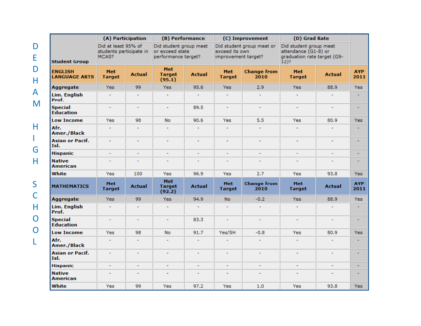| (A) Participation                      |                                                         |                | (B) Performance                                                  |                |                                       | (C) Improvement            | (D) Grad Rate                                                                            |                |                    |
|----------------------------------------|---------------------------------------------------------|----------------|------------------------------------------------------------------|----------------|---------------------------------------|----------------------------|------------------------------------------------------------------------------------------|----------------|--------------------|
| <b>Student Group</b>                   | Did at least 95% of<br>students participate in<br>MCAS? |                | Did student group meet<br>or exceed state<br>performance target? |                | exceed its own<br>improvement target? | Did student group meet or  | Did student group meet<br>attendance (G1-8) or<br>graduation rate target (G9-<br>$12)$ ? |                |                    |
| <b>ENGLISH</b><br><b>LANGUAGE ARTS</b> | Met<br><b>Target</b>                                    | <b>Actual</b>  | <b>Met</b><br><b>Target</b><br>(95.1)                            | <b>Actual</b>  | <b>Met</b><br><b>Target</b>           | <b>Change from</b><br>2010 | Met<br><b>Target</b>                                                                     | <b>Actual</b>  | <b>AYP</b><br>2011 |
| <b>Aggregate</b>                       | <b>Yes</b>                                              | 99             | <b>Yes</b>                                                       | 95.6           | <b>Yes</b>                            | 2.9                        | Yes:                                                                                     | 88.9           | <b>Yes</b>         |
| Lim. English<br>Prof.                  | ٠                                                       | $\overline{a}$ | ٠                                                                | $\overline{a}$ |                                       |                            |                                                                                          |                | ٠                  |
| <b>Special</b><br><b>Education</b>     | ٠                                                       | ٠              | ÷,                                                               | 89.5           | ٠                                     | ٠                          | ٠                                                                                        | ٠              | ٠                  |
| <b>Low Income</b>                      | Yes                                                     | 98             | <b>No</b>                                                        | 90.6           | Yes                                   | 5.5                        | Yes                                                                                      | 80.9           | <b>Yes</b>         |
| Afr.<br><b>Amer./Black</b>             | ٠                                                       | ٠              | ٠                                                                | ٠              | ٠                                     | ٠                          | $\overline{a}$                                                                           | ٠              |                    |
| <b>Asian or Pacif.</b><br>Isl.         | ۰                                                       | ٠              | ٠                                                                | ٠              | Ξ                                     | ٠                          | ٠                                                                                        | ٠              | ٠                  |
| <b>Hispanic</b>                        | ÷                                                       |                | $\overline{a}$                                                   |                |                                       |                            | $\overline{a}$                                                                           |                | ۰                  |
| <b>Native</b><br><b>American</b>       |                                                         |                | $\overline{a}$                                                   |                |                                       |                            |                                                                                          |                |                    |
| White                                  | Yes                                                     | 100            | <b>Yes</b>                                                       | 96.9           | Yes                                   | 2.7                        | <b>Yes</b>                                                                               | 93.8           | <b>Yes</b>         |
| <b>MATHEMATICS</b>                     | <b>Met</b><br><b>Target</b>                             | <b>Actual</b>  | <b>Met</b><br><b>Target</b><br>(92.2)                            | <b>Actual</b>  | <b>Met</b><br><b>Target</b>           | <b>Change from</b><br>2010 | <b>Met</b><br><b>Target</b>                                                              | <b>Actual</b>  | <b>AYP</b><br>2011 |
| <b>Aggregate</b>                       | <b>Yes</b>                                              | 99             | Yes:                                                             | 94.9           | No.                                   | $-0.2$                     | Yes:                                                                                     | 88.9           | <b>Yes</b>         |
| Lim. English<br>Prof.                  | ÷                                                       | $\overline{a}$ | ٠                                                                | ÷.             | ٠                                     |                            | ÷                                                                                        |                | ٠                  |
| <b>Special</b><br><b>Education</b>     | ۰                                                       | ۰              | ۰                                                                | 83.3           | ۰                                     | ۰                          | ۰                                                                                        | ۰              | ۰                  |
| <b>Low Income</b>                      | Yes                                                     | 98             | <b>No</b>                                                        | 91.7           | Yes/SH                                | $-0.8$                     | <b>Yes</b>                                                                               | 80.9           | <b>Yes</b>         |
| Afr.<br><b>Amer./Black</b>             |                                                         |                | ۰                                                                | ٠              |                                       |                            | ٠                                                                                        |                | ٠                  |
| <b>Asian or Pacif.</b><br>Isl.         | $\overline{a}$                                          |                | $\overline{a}$                                                   |                | $\overline{a}$                        | ۰                          | $\overline{a}$                                                                           | $\overline{a}$ | ۰                  |
| <b>Hispanic</b>                        | ٠                                                       | ٠              | ٠                                                                | ÷,             | ٠                                     |                            |                                                                                          |                | ۰                  |
| <b>Native</b><br><b>American</b>       |                                                         |                | L,                                                               |                |                                       |                            |                                                                                          |                |                    |
| White                                  | Yes                                                     | 99             | Yes                                                              | 97.2           | Yes                                   | 1.0                        | Yes                                                                                      | 93.8           | Yes                |

D

E

D

H

A

M

H

I

L

G

H

S

C

H

O

O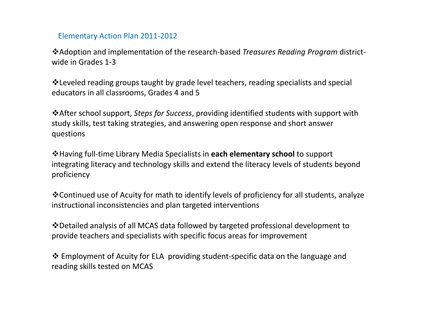#### Elementary Action Plan 2011‐2012

Adoption and implementation of the research‐based *Treasures Reading Program* district‐ wide in Grades 1-3

Leveled reading groups taught by grade level teachers, reading specialists and special educators in all classrooms, Grades 4 and 5

After school support, *Steps for Success*, providing identified students with support with study skills, test taking strategies, and answering open response and short answer questions

Having full‐time Library Media Specialists in **each elementary school** to support integrating literacy and technology skills and extend the literacy levels of students beyond proficiency

Continued use of Acuity for math to identify levels of proficiency for all students, analyze instructional inconsistencies and plan targeted interventions

❖ Detailed analysis of all MCAS data followed by targeted professional development to provide teachers and specialists with specific focus areas for improvement

 Employment of Acuity for ELA providing student‐specific data on the language and reading skills tested on MCAS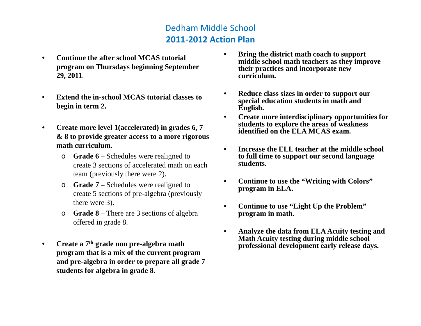# Dedham Middle School **2011‐2012 Action Plan**

- • **Continue theafter school MCAS tutori program on Thursdays beginning September 29, 2011**.
- • **Extend the in-school MCAS tutorial classes to special education students in math and**<br> **begin in term 2. education English**.
- $\bullet$  **Create more level 1(accelerated) in grades 6, 7 & 8 to provide greater access to a more rigorous math curriculum.** 
	- o **Grade 6** Schedules were realigned to create 3 sections of accelerated math on each team (previously there were 2).
	- $\circ$  **Grade 7** Schedules were realigned to create 5 sections of pre-algebra (previously there were 3).
	- o **Grade 8** There are 3 sections of algebra offered in grade 8.
- $\bullet$  **Create a 7th grade non pre-algebra math program that is a mix of the current program and pre-al gebra in order to pre pare all grade 7 p g pp g students for algebra in grade 8.**
- Continue the after school MCAS tutorial **Figure 1.1 Continue the after school MCAS tutorial Continue the after school MCAS** tutorial **Continue to the school meth** eachers as they improve **their practices and incorporate new curriculum.**
	- $\bullet$  **Reduce class sizes in order to support our English.**
	- • **Create more interdisciplinary opportunities for students to explore the areas of weakness identified on the ELA MCAS exam.**
	- • **Increase the ELL teacher at the middle school to full time to support our second language students.**
	- • **Continue to use the "Writing with Colors " Writing program in ELA.**
	- • **Continue to use "Light Up the Problem" program in math.**
	- $\bullet$  **Analyze the data from ELA Acuity testing and Math Acuity testing during middle school professional development early release days.**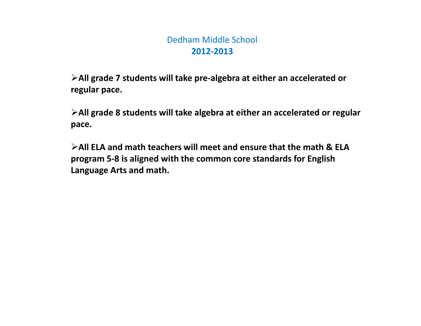# Dedham Middle School **2012‐2013**

**All grade 7 students will take pre‐algebra at either an accelerated or regular pace.**

**All grade 8 students will take algebra at either an accelerated or regular pace.**

**All ELA and math teachers will meet and ensure that the math & ELA program 5‐8 is aligned with the common core standards for English Language Arts and math.**